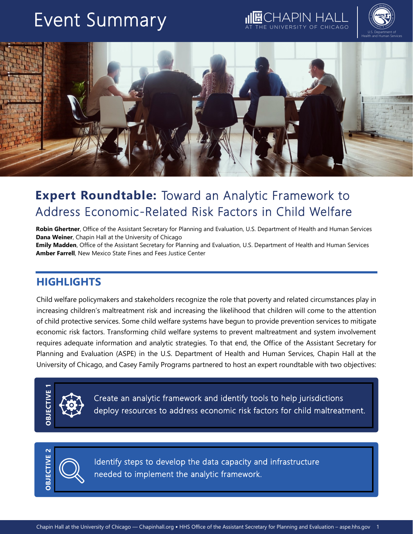# Event Summary

APIN F





# **Expert Roundtable:** Toward an Analytic Framework to Address Economic-Related Risk Factors in Child Welfare

**Robin Ghertner**, Office of the Assistant Secretary for Planning and Evaluation, U.S. Department of Health and Human Services **Dana Weiner**, Chapin Hall at the University of Chicago **Emily Madden**, Office of the Assistant Secretary for Planning and Evaluation, U.S. Department of Health and Human Services

**Amber Farrell**, New Mexico State Fines and Fees Justice Center

### **HIGHLIGHTS**

Child welfare policymakers and stakeholders recognize the role that poverty and related circumstances play in increasing children's maltreatment risk and increasing the likelihood that children will come to the attention of child protective services. Some child welfare systems have begun to provide prevention services to mitigate economic risk factors. Transforming child welfare systems to prevent maltreatment and system involvement requires adequate information and analytic strategies. To that end, the Office of the Assistant Secretary for Planning and Evaluation (ASPE) in the U.S. Department of Health and Human Services, Chapin Hall at the University of Chicago, and Casey Family Programs partnered to host an expert roundtable with two objectives:



Create an analytic framework and identify tools to help jurisdictions<br>deploy resources to address economic risk factors for child maltreatment.<br><br>**Chapin Hall at the University of Chicago — Chapinhall.org • HHS Office of th** Create an analytic framework and identify tools to help jurisdictions deploy resources to address economic risk factors for child maltreatment.



Identify steps to develop the data capacity and infrastructure needed to implement the analytic framework.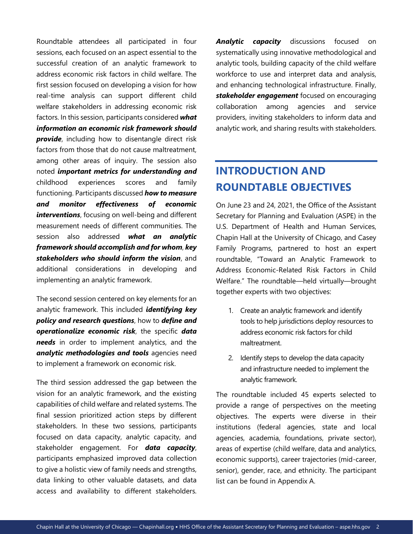Roundtable attendees all participated in four sessions, each focused on an aspect essential to the successful creation of an analytic framework to address economic risk factors in child welfare. The first session focused on developing a vision for how real-time analysis can support different child welfare stakeholders in addressing economic risk factors. In this session, participants considered *what information an economic risk framework should*  **provide**, including how to disentangle direct risk factors from those that do not cause maltreatment, among other areas of inquiry. The session also noted *important metrics for understanding and*  childhood experiences scores and family functioning. Participants discussed *how to measure and monitor effectiveness of economic interventions*, focusing on well-being and different measurement needs of different communities. The session also addressed *what an analytic framework should accomplish and for whom*, *key stakeholders who should inform the vision*, and additional considerations in developing and implementing an analytic framework.

The second session centered on key elements for an analytic framework. This included *identifying key policy and research questions*, how to *define and operationalize economic risk*, the specific *data needs* in order to implement analytics, and the *analytic methodologies and tools* agencies need to implement a framework on economic risk.

The third session addressed the gap between the vision for an analytic framework, and the existing capabilities of child welfare and related systems. The final session prioritized action steps by different stakeholders. In these two sessions, participants focused on data capacity, analytic capacity, and stakeholder engagement. For *data capacity*, participants emphasized improved data collection to give a holistic view of family needs and strengths, data linking to other valuable datasets, and data access and availability to different stakeholders.

*Analytic capacity* discussions focused on systematically using innovative methodological and analytic tools, building capacity of the child welfare workforce to use and interpret data and analysis, and enhancing technological infrastructure. Finally, *stakeholder engagement* focused on encouraging collaboration among agencies and service providers, inviting stakeholders to inform data and analytic work, and sharing results with stakeholders.

# **INTRODUCTION AND ROUNDTABLE OBJECTIVES**

On June 23 and 24, 2021, the Office of the Assistant Secretary for Planning and Evaluation (ASPE) in the U.S. Department of Health and Human Services, Chapin Hall at the University of Chicago, and Casey Family Programs, partnered to host an expert roundtable, "Toward an Analytic Framework to Address Economic-Related Risk Factors in Child Welfare." The roundtable—held virtually—brought together experts with two objectives:

- 1. Create an analytic framework and identify tools to help jurisdictions deploy resources to address economic risk factors for child maltreatment.
- 2. Identify steps to develop the data capacity and infrastructure needed to implement the analytic framework.

The roundtable included 45 experts selected to provide a range of perspectives on the meeting objectives. The experts were diverse in their institutions (federal agencies, state and local agencies, academia, foundations, private sector), areas of expertise (child welfare, data and analytics, economic supports), career trajectories (mid-career, senior), gender, race, and ethnicity. The participant list can be found in Appendix A.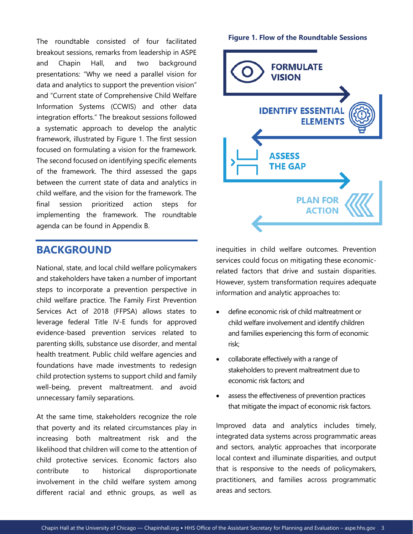The roundtable consisted of four facilitated breakout sessions, remarks from leadership in ASPE and Chapin Hall, and two background presentations: "Why we need a parallel vision for data and analytics to support the prevention vision" and "Current state of Comprehensive Child Welfare Information Systems (CCWIS) and other data integration efforts." The breakout sessions followed a systematic approach to develop the analytic framework, illustrated by Figure 1. The first session focused on formulating a vision for the framework. The second focused on identifying specific elements of the framework. The third assessed the gaps between the current state of data and analytics in child welfare, and the vision for the framework. The final session prioritized action steps for implementing the framework. The roundtable agenda can be found in Appendix B.

### **BACKGROUND**

National, state, and local child welfare policymakers and stakeholders have taken a number of important steps to incorporate a prevention perspective in child welfare practice. The Family First Prevention Services Act of 2018 (FFPSA) allows states to leverage federal Title IV-E funds for approved evidence-based prevention services related to parenting skills, substance use disorder, and mental health treatment. Public child welfare agencies and foundations have made investments to redesign child protection systems to support child and family well-being, prevent maltreatment. and avoid unnecessary family separations.

At the same time, stakeholders recognize the role that poverty and its related circumstances play in increasing both maltreatment risk and the likelihood that children will come to the attention of child protective services. Economic factors also contribute to historical disproportionate involvement in the child welfare system among different racial and ethnic groups, as well as

#### **Figure 1. Flow of the Roundtable Sessions**



inequities in child welfare outcomes. Prevention services could focus on mitigating these economicrelated factors that drive and sustain disparities. However, system transformation requires adequate information and analytic approaches to:

- define economic risk of child maltreatment or child welfare involvement and identify children and families experiencing this form of economic risk;
- collaborate effectively with a range of stakeholders to prevent maltreatment due to economic risk factors; and
- assess the effectiveness of prevention practices that mitigate the impact of economic risk factors.

Improved data and analytics includes timely, integrated data systems across programmatic areas and sectors, analytic approaches that incorporate local context and illuminate disparities, and output that is responsive to the needs of policymakers, practitioners, and families across programmatic areas and sectors.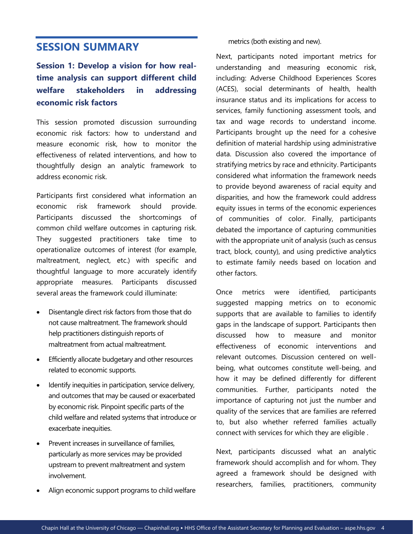### **SESSION SUMMARY**

**Session 1: Develop a vision for how realtime analysis can support different child welfare stakeholders in addressing economic risk factors** 

This session promoted discussion surrounding economic risk factors: how to understand and measure economic risk, how to monitor the effectiveness of related interventions, and how to thoughtfully design an analytic framework to address economic risk.

Participants first considered what information an economic risk framework should provide. Participants discussed the shortcomings of common child welfare outcomes in capturing risk. They suggested practitioners take time to operationalize outcomes of interest (for example, maltreatment, neglect, etc.) with specific and thoughtful language to more accurately identify appropriate measures. Participants discussed several areas the framework could illuminate:

- Disentangle direct risk factors from those that do not cause maltreatment. The framework should help practitioners distinguish reports of maltreatment from actual maltreatment.
- Efficiently allocate budgetary and other resources related to economic supports.
- Identify inequities in participation, service delivery, and outcomes that may be caused or exacerbated by economic risk. Pinpoint specific parts of the child welfare and related systems that introduce or exacerbate inequities.
- Prevent increases in surveillance of families. particularly as more services may be provided upstream to prevent maltreatment and system involvement.
- Align economic support programs to child welfare

metrics (both existing and new).

Next, participants noted important metrics for understanding and measuring economic risk, including: Adverse Childhood Experiences Scores (ACES), social determinants of health, health insurance status and its implications for access to services, family functioning assessment tools, and tax and wage records to understand income. Participants brought up the need for a cohesive definition of material hardship using administrative data. Discussion also covered the importance of stratifying metrics by race and ethnicity. Participants considered what information the framework needs to provide beyond awareness of racial equity and disparities, and how the framework could address equity issues in terms of the economic experiences of communities of color. Finally, participants debated the importance of capturing communities with the appropriate unit of analysis (such as census tract, block, county), and using predictive analytics to estimate family needs based on location and other factors.

Once metrics were identified, participants suggested mapping metrics on to economic supports that are available to families to identify gaps in the landscape of support. Participants then discussed how to measure and monitor effectiveness of economic interventions and relevant outcomes. Discussion centered on wellbeing, what outcomes constitute well-being, and how it may be defined differently for different communities. Further, participants noted the importance of capturing not just the number and quality of the services that are families are referred to, but also whether referred families actually connect with services for which they are eligible .

Next, participants discussed what an analytic framework should accomplish and for whom. They agreed a framework should be designed with researchers, families, practitioners, community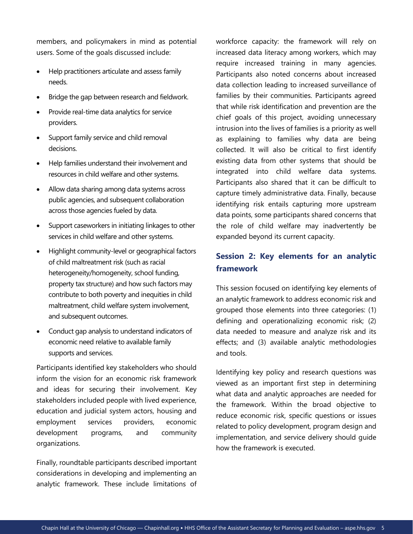members, and policymakers in mind as potential users. Some of the goals discussed include:

- Help practitioners articulate and assess family needs.
- Bridge the gap between research and fieldwork.
- Provide real-time data analytics for service providers.
- Support family service and child removal decisions.
- Help families understand their involvement and resources in child welfare and other systems.
- Allow data sharing among data systems across public agencies, and subsequent collaboration across those agencies fueled by data.
- Support caseworkers in initiating linkages to other services in child welfare and other systems.
- Highlight community-level or geographical factors of child maltreatment risk (such as racial heterogeneity/homogeneity, school funding, property tax structure) and how such factors may contribute to both poverty and inequities in child maltreatment, child welfare system involvement, and subsequent outcomes.
- Conduct gap analysis to understand indicators of economic need relative to available family supports and services.

Participants identified key stakeholders who should inform the vision for an economic risk framework and ideas for securing their involvement. Key stakeholders included people with lived experience, education and judicial system actors, housing and employment services providers, economic development programs, and community organizations.

Finally, roundtable participants described important considerations in developing and implementing an analytic framework. These include limitations of workforce capacity: the framework will rely on increased data literacy among workers, which may require increased training in many agencies. Participants also noted concerns about increased data collection leading to increased surveillance of families by their communities. Participants agreed that while risk identification and prevention are the chief goals of this project, avoiding unnecessary intrusion into the lives of families is a priority as well as explaining to families why data are being collected. It will also be critical to first identify existing data from other systems that should be integrated into child welfare data systems. Participants also shared that it can be difficult to capture timely administrative data. Finally, because identifying risk entails capturing more upstream data points, some participants shared concerns that the role of child welfare may inadvertently be expanded beyond its current capacity.

### **Session 2: Key elements for an analytic framework**

This session focused on identifying key elements of an analytic framework to address economic risk and grouped those elements into three categories: (1) defining and operationalizing economic risk; (2) data needed to measure and analyze risk and its effects; and (3) available analytic methodologies and tools.

Identifying key policy and research questions was viewed as an important first step in determining what data and analytic approaches are needed for the framework. Within the broad objective to reduce economic risk, specific questions or issues related to policy development, program design and implementation, and service delivery should guide how the framework is executed.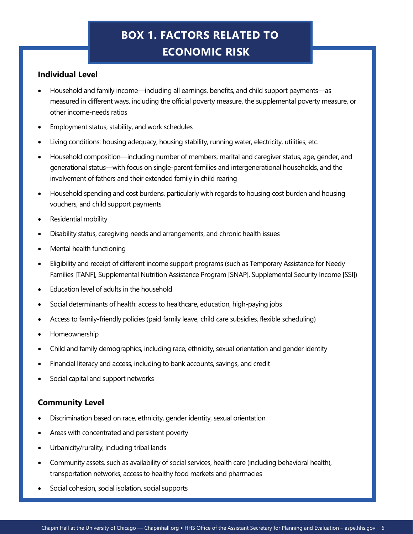# **BOX 1. FACTORS RELATED TO ECONOMIC RISK**

### **Individual Level**

- Household and family income—including all earnings, benefits, and child support payments—as measured in different ways, including the official poverty measure, the supplemental poverty measure, or other income-needs ratios
- Employment status, stability, and work schedules
- Living conditions: housing adequacy, housing stability, running water, electricity, utilities, etc.
- Household composition—including number of members, marital and caregiver status, age, gender, and generational status—with focus on single-parent families and intergenerational households, and the involvement of fathers and their extended family in child rearing
- Household spending and cost burdens, particularly with regards to housing cost burden and housing vouchers, and child support payments
- Residential mobility
- Disability status, caregiving needs and arrangements, and chronic health issues
- Mental health functioning
- Eligibility and receipt of different income support programs (such as Temporary Assistance for Needy Families [TANF], Supplemental Nutrition Assistance Program [SNAP], Supplemental Security Income [SSI])
- Education level of adults in the household
- Social determinants of health: access to healthcare, education, high-paying jobs
- Access to family-friendly policies (paid family leave, child care subsidies, flexible scheduling)
- Homeownership
- Child and family demographics, including race, ethnicity, sexual orientation and gender identity
- Financial literacy and access, including to bank accounts, savings, and credit
- Social capital and support networks

### **Community Level**

- Discrimination based on race, ethnicity, gender identity, sexual orientation
- Areas with concentrated and persistent poverty
- Urbanicity/rurality, including tribal lands
- Community assets, such as availability of social services, health care (including behavioral health), transportation networks, access to healthy food markets and pharmacies
- Social cohesion, social isolation, social supports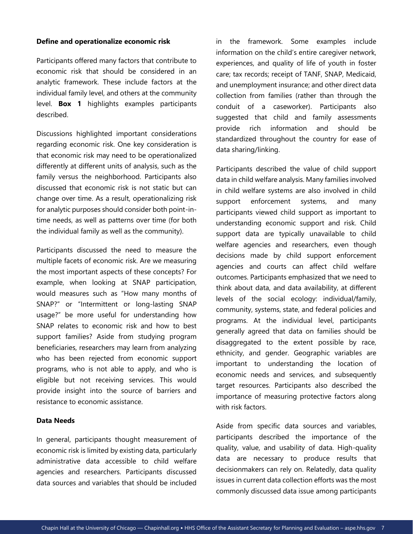#### **Define and operationalize economic risk**

Participants offered many factors that contribute to economic risk that should be considered in an analytic framework. These include factors at the individual family level, and others at the community level. **Box 1** highlights examples participants described.

Discussions highlighted important considerations regarding economic risk. One key consideration is that economic risk may need to be operationalized differently at different units of analysis, such as the family versus the neighborhood. Participants also discussed that economic risk is not static but can change over time. As a result, operationalizing risk for analytic purposes should consider both point-intime needs, as well as patterns over time (for both the individual family as well as the community).

Participants discussed the need to measure the multiple facets of economic risk. Are we measuring the most important aspects of these concepts? For example, when looking at SNAP participation, would measures such as "How many months of SNAP?" or "Intermittent or long-lasting SNAP usage?" be more useful for understanding how SNAP relates to economic risk and how to best support families? Aside from studying program beneficiaries, researchers may learn from analyzing who has been rejected from economic support programs, who is not able to apply, and who is eligible but not receiving services. This would provide insight into the source of barriers and resistance to economic assistance.

#### **Data Needs**

In general, participants thought measurement of economic risk is limited by existing data, particularly administrative data accessible to child welfare agencies and researchers. Participants discussed data sources and variables that should be included

in the framework. Some examples include information on the child's entire caregiver network, experiences, and quality of life of youth in foster care; tax records; receipt of TANF, SNAP, Medicaid, and unemployment insurance; and other direct data collection from families (rather than through the conduit of a caseworker). Participants also suggested that child and family assessments provide rich information and should be standardized throughout the country for ease of data sharing/linking.

Participants described the value of child support data in child welfare analysis. Many families involved in child welfare systems are also involved in child support enforcement systems, and many participants viewed child support as important to understanding economic support and risk. Child support data are typically unavailable to child welfare agencies and researchers, even though decisions made by child support enforcement agencies and courts can affect child welfare outcomes. Participants emphasized that we need to think about data, and data availability, at different levels of the social ecology: individual/family, community, systems, state, and federal policies and programs. At the individual level, participants generally agreed that data on families should be disaggregated to the extent possible by race, ethnicity, and gender. Geographic variables are important to understanding the location of economic needs and services, and subsequently target resources. Participants also described the importance of measuring protective factors along with risk factors.

Aside from specific data sources and variables, participants described the importance of the quality, value, and usability of data. High-quality data are necessary to produce results that decisionmakers can rely on. Relatedly, data quality issues in current data collection efforts was the most commonly discussed data issue among participants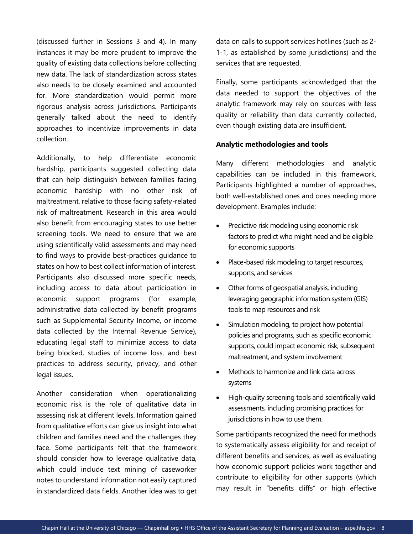(discussed further in Sessions 3 and 4). In many instances it may be more prudent to improve the quality of existing data collections before collecting new data. The lack of standardization across states also needs to be closely examined and accounted for. More standardization would permit more rigorous analysis across jurisdictions. Participants generally talked about the need to identify approaches to incentivize improvements in data collection.

Additionally, to help differentiate economic hardship, participants suggested collecting data that can help distinguish between families facing economic hardship with no other risk of maltreatment, relative to those facing safety-related risk of maltreatment. Research in this area would also benefit from encouraging states to use better screening tools. We need to ensure that we are using scientifically valid assessments and may need to find ways to provide best-practices guidance to states on how to best collect information of interest. Participants also discussed more specific needs, including access to data about participation in economic support programs (for example, administrative data collected by benefit programs such as Supplemental Security Income, or income data collected by the Internal Revenue Service), educating legal staff to minimize access to data being blocked, studies of income loss, and best practices to address security, privacy, and other legal issues.

Another consideration when operationalizing economic risk is the role of qualitative data in assessing risk at different levels. Information gained from qualitative efforts can give us insight into what children and families need and the challenges they face. Some participants felt that the framework should consider how to leverage qualitative data, which could include text mining of caseworker notes to understand information not easily captured in standardized data fields. Another idea was to get data on calls to support services hotlines (such as 2- 1-1, as established by some jurisdictions) and the services that are requested.

Finally, some participants acknowledged that the data needed to support the objectives of the analytic framework may rely on sources with less quality or reliability than data currently collected, even though existing data are insufficient.

### **Analytic methodologies and tools**

Many different methodologies and analytic capabilities can be included in this framework. Participants highlighted a number of approaches, both well-established ones and ones needing more development. Examples include:

- Predictive risk modeling using economic risk factors to predict who might need and be eligible for economic supports
- Place-based risk modeling to target resources, supports, and services
- Other forms of geospatial analysis, including leveraging geographic information system (GIS) tools to map resources and risk
- Simulation modeling, to project how potential policies and programs, such as specific economic supports, could impact economic risk, subsequent maltreatment, and system involvement
- Methods to harmonize and link data across systems
- High-quality screening tools and scientifically valid assessments, including promising practices for jurisdictions in how to use them.

Some participants recognized the need for methods to systematically assess eligibility for and receipt of different benefits and services, as well as evaluating how economic support policies work together and contribute to eligibility for other supports (which may result in "benefits cliffs" or high effective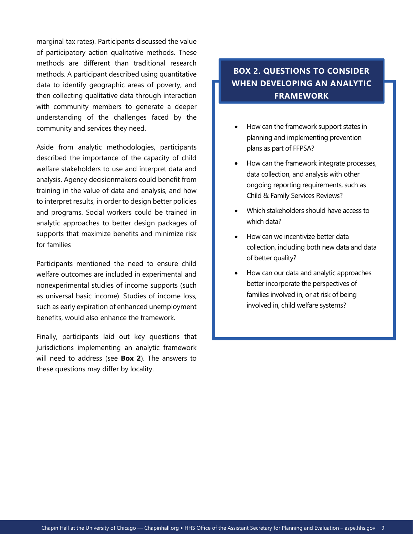marginal tax rates). Participants discussed the value of participatory action qualitative methods. These methods are different than traditional research methods. A participant described using quantitative data to identify geographic areas of poverty, and then collecting qualitative data through interaction with community members to generate a deeper understanding of the challenges faced by the community and services they need.

Aside from analytic methodologies, participants described the importance of the capacity of child welfare stakeholders to use and interpret data and analysis. Agency decisionmakers could benefit from training in the value of data and analysis, and how to interpret results, in order to design better policies and programs. Social workers could be trained in analytic approaches to better design packages of supports that maximize benefits and minimize risk for families

Participants mentioned the need to ensure child welfare outcomes are included in experimental and nonexperimental studies of income supports (such as universal basic income). Studies of income loss, such as early expiration of enhanced unemployment benefits, would also enhance the framework.

Finally, participants laid out key questions that jurisdictions implementing an analytic framework will need to address (see **Box 2**). The answers to these questions may differ by locality.

### **BOX 2. QUESTIONS TO CONSIDER WHEN DEVELOPING AN ANALYTIC FRAMEWORK**

- How can the framework support states in planning and implementing prevention plans as part of FFPSA?
- How can the framework integrate processes, data collection, and analysis with other ongoing reporting requirements, such as Child & Family Services Reviews?
- Which stakeholders should have access to which data?
- How can we incentivize better data collection, including both new data and data of better quality?
- How can our data and analytic approaches better incorporate the perspectives of families involved in, or at risk of being involved in, child welfare systems?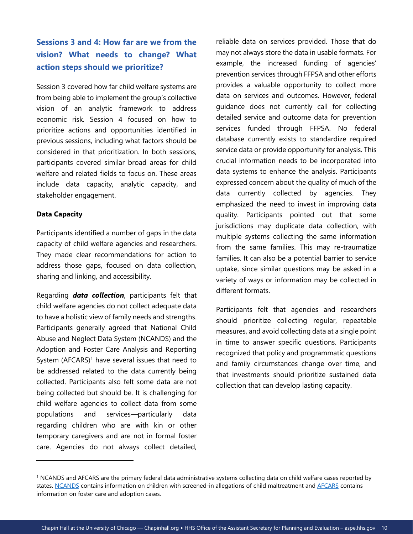### **Sessions 3 and 4: How far are we from the vision? What needs to change? What action steps should we prioritize?**

Session 3 covered how far child welfare systems are from being able to implement the group's collective vision of an analytic framework to address economic risk. Session 4 focused on how to prioritize actions and opportunities identified in previous sessions, including what factors should be considered in that prioritization. In both sessions, participants covered similar broad areas for child welfare and related fields to focus on. These areas include data capacity, analytic capacity, and stakeholder engagement.

### **Data Capacity**

Participants identified a number of gaps in the data capacity of child welfare agencies and researchers. They made clear recommendations for action to address those gaps, focused on data collection, sharing and linking, and accessibility.

Regarding *data collection*, participants felt that child welfare agencies do not collect adequate data to have a holistic view of family needs and strengths. Participants generally agreed that National Child Abuse and Neglect Data System (NCANDS) and the Adoption and Foster Care Analysis and Reporting System  $(AFCARS)^1$  have several issues that need to be addressed related to the data currently being collected. Participants also felt some data are not being collected but should be. It is challenging for child welfare agencies to collect data from some populations and services—particularly data regarding children who are with kin or other temporary caregivers and are not in formal foster care. Agencies do not always collect detailed,

reliable data on services provided. Those that do may not always store the data in usable formats. For example, the increased funding of agencies' prevention services through FFPSA and other efforts provides a valuable opportunity to collect more data on services and outcomes. However, federal guidance does not currently call for collecting detailed service and outcome data for prevention services funded through FFPSA. No federal database currently exists to standardize required service data or provide opportunity for analysis. This crucial information needs to be incorporated into data systems to enhance the analysis. Participants expressed concern about the quality of much of the data currently collected by agencies. They emphasized the need to invest in improving data quality. Participants pointed out that some jurisdictions may duplicate data collection, with multiple systems collecting the same information from the same families. This may re-traumatize families. It can also be a potential barrier to service uptake, since similar questions may be asked in a variety of ways or information may be collected in different formats.

Participants felt that agencies and researchers should prioritize collecting regular, repeatable measures, and avoid collecting data at a single point in time to answer specific questions. Participants recognized that policy and programmatic questions and family circumstances change over time, and that investments should prioritize sustained data collection that can develop lasting capacity.

<sup>&</sup>lt;sup>1</sup> NCANDS and AFCARS are the primary federal data administrative systems collecting data on child welfare cases reported by states. [NCANDS](https://www.acf.hhs.gov/cb/research-data-technology/reporting-systems/ncands) contains information on children with screened-in allegations of child maltreatment and [AFCARS](https://www.acf.hhs.gov/cb/data-research/adoption-fostercare) contains information on foster care and adoption cases.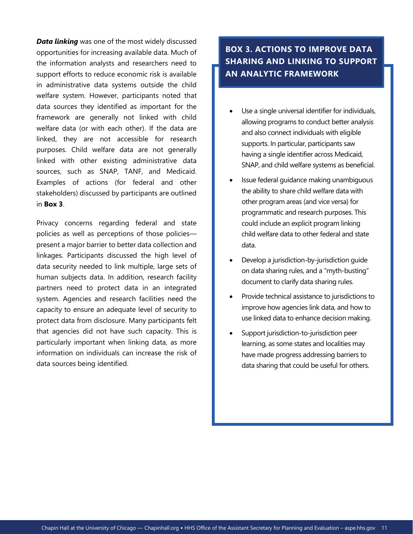*Data linking* was one of the most widely discussed opportunities for increasing available data. Much of the information analysts and researchers need to support efforts to reduce economic risk is available in administrative data systems outside the child welfare system. However, participants noted that data sources they identified as important for the framework are generally not linked with child welfare data (or with each other). If the data are linked, they are not accessible for research purposes. Child welfare data are not generally linked with other existing administrative data sources, such as SNAP, TANF, and Medicaid. Examples of actions (for federal and other stakeholders) discussed by participants are outlined in **Box 3**.

Privacy concerns regarding federal and state policies as well as perceptions of those policies present a major barrier to better data collection and linkages. Participants discussed the high level of data security needed to link multiple, large sets of human subjects data. In addition, research facility partners need to protect data in an integrated system. Agencies and research facilities need the capacity to ensure an adequate level of security to protect data from disclosure. Many participants felt that agencies did not have such capacity. This is particularly important when linking data, as more information on individuals can increase the risk of data sources being identified.

### **BOX 3. ACTIONS TO IMPROVE DATA SHARING AND LINKING TO SUPPORT AN ANALYTIC FRAMEWORK**

- Use a single universal identifier for individuals, allowing programs to conduct better analysis and also connect individuals with eligible supports. In particular, participants saw having a single identifier across Medicaid, SNAP, and child welfare systems as beneficial.
- Issue federal guidance making unambiguous the ability to share child welfare data with other program areas (and vice versa) for programmatic and research purposes. This could include an explicit program linking child welfare data to other federal and state data.
- Develop a jurisdiction-by-jurisdiction guide on data sharing rules, and a "myth-busting" document to clarify data sharing rules.
- Provide technical assistance to jurisdictions to improve how agencies link data, and how to use linked data to enhance decision making.
- Support jurisdiction-to-jurisdiction peer learning, as some states and localities may have made progress addressing barriers to data sharing that could be useful for others.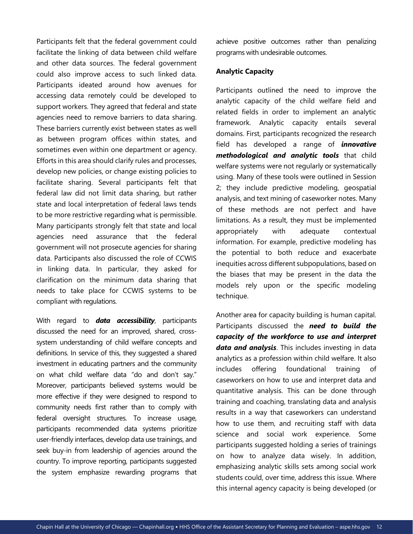Participants felt that the federal government could facilitate the linking of data between child welfare and other data sources. The federal government could also improve access to such linked data. Participants ideated around how avenues for accessing data remotely could be developed to support workers. They agreed that federal and state agencies need to remove barriers to data sharing. These barriers currently exist between states as well as between program offices within states, and sometimes even within one department or agency. Efforts in this area should clarify rules and processes, develop new policies, or change existing policies to facilitate sharing. Several participants felt that federal law did not limit data sharing, but rather state and local interpretation of federal laws tends to be more restrictive regarding what is permissible. Many participants strongly felt that state and local agencies need assurance that the federal government will not prosecute agencies for sharing data. Participants also discussed the role of CCWIS in linking data. In particular, they asked for clarification on the minimum data sharing that needs to take place for CCWIS systems to be compliant with regulations.

With regard to *data accessibility*, participants discussed the need for an improved, shared, crosssystem understanding of child welfare concepts and definitions. In service of this, they suggested a shared investment in educating partners and the community on what child welfare data "do and don't say." Moreover, participants believed systems would be more effective if they were designed to respond to community needs first rather than to comply with federal oversight structures. To increase usage, participants recommended data systems prioritize user-friendly interfaces, develop data use trainings, and seek buy-in from leadership of agencies around the country. To improve reporting, participants suggested the system emphasize rewarding programs that achieve positive outcomes rather than penalizing programs with undesirable outcomes.

#### **Analytic Capacity**

Participants outlined the need to improve the analytic capacity of the child welfare field and related fields in order to implement an analytic framework. Analytic capacity entails several domains. First, participants recognized the research field has developed a range of *innovative methodological and analytic tools* that child welfare systems were not regularly or systematically using. Many of these tools were outlined in Session 2; they include predictive modeling, geospatial analysis, and text mining of caseworker notes. Many of these methods are not perfect and have limitations. As a result, they must be implemented appropriately with adequate contextual information. For example, predictive modeling has the potential to both reduce and exacerbate inequities across different subpopulations, based on the biases that may be present in the data the models rely upon or the specific modeling technique.

Another area for capacity building is human capital. Participants discussed the *need to build the capacity of the workforce to use and interpret data and analysis*. This includes investing in data analytics as a profession within child welfare. It also includes offering foundational training of caseworkers on how to use and interpret data and quantitative analysis. This can be done through training and coaching, translating data and analysis results in a way that caseworkers can understand how to use them, and recruiting staff with data science and social work experience. Some participants suggested holding a series of trainings on how to analyze data wisely. In addition, emphasizing analytic skills sets among social work students could, over time, address this issue. Where this internal agency capacity is being developed (or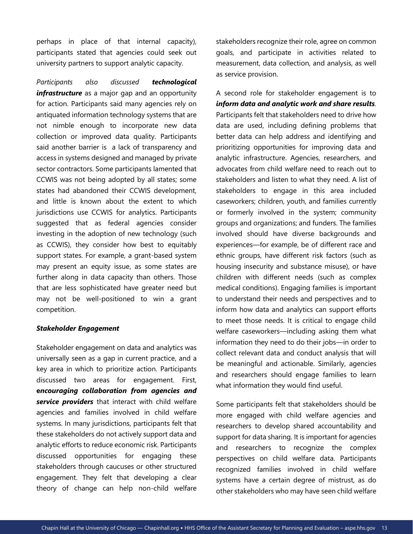perhaps in place of that internal capacity), participants stated that agencies could seek out university partners to support analytic capacity.

*Participants also discussed technological infrastructure* as a major gap and an opportunity for action. Participants said many agencies rely on antiquated information technology systems that are not nimble enough to incorporate new data collection or improved data quality. Participants said another barrier is a lack of transparency and access in systems designed and managed by private sector contractors. Some participants lamented that CCWIS was not being adopted by all states; some states had abandoned their CCWIS development, and little is known about the extent to which jurisdictions use CCWIS for analytics. Participants suggested that as federal agencies consider investing in the adoption of new technology (such as CCWIS), they consider how best to equitably support states. For example, a grant-based system may present an equity issue, as some states are further along in data capacity than others. Those that are less sophisticated have greater need but may not be well-positioned to win a grant competition.

#### *Stakeholder Engagement*

Stakeholder engagement on data and analytics was universally seen as a gap in current practice, and a key area in which to prioritize action. Participants discussed two areas for engagement. First, **e***ncouraging collaboration from agencies and service providers* that interact with child welfare agencies and families involved in child welfare systems. In many jurisdictions, participants felt that these stakeholders do not actively support data and analytic efforts to reduce economic risk. Participants discussed opportunities for engaging these stakeholders through caucuses or other structured engagement. They felt that developing a clear theory of change can help non-child welfare

stakeholders recognize their role, agree on common goals, and participate in activities related to measurement, data collection, and analysis, as well as service provision.

A second role for stakeholder engagement is to *inform data and analytic work and share results.* Participants felt that stakeholders need to drive how data are used, including defining problems that better data can help address and identifying and prioritizing opportunities for improving data and analytic infrastructure. Agencies, researchers, and advocates from child welfare need to reach out to stakeholders and listen to what they need. A list of stakeholders to engage in this area included caseworkers; children, youth, and families currently or formerly involved in the system; community groups and organizations; and funders. The families involved should have diverse backgrounds and experiences—for example, be of different race and ethnic groups, have different risk factors (such as housing insecurity and substance misuse), or have children with different needs (such as complex medical conditions). Engaging families is important to understand their needs and perspectives and to inform how data and analytics can support efforts to meet those needs. It is critical to engage child welfare caseworkers—including asking them what information they need to do their jobs—in order to collect relevant data and conduct analysis that will be meaningful and actionable. Similarly, agencies and researchers should engage families to learn what information they would find useful.

Some participants felt that stakeholders should be more engaged with child welfare agencies and researchers to develop shared accountability and support for data sharing. It is important for agencies and researchers to recognize the complex perspectives on child welfare data. Participants recognized families involved in child welfare systems have a certain degree of mistrust, as do other stakeholders who may have seen child welfare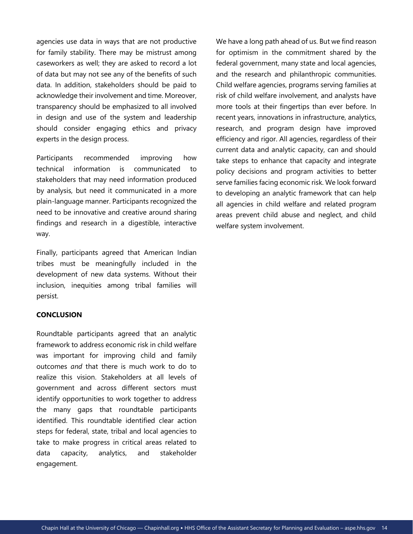agencies use data in ways that are not productive for family stability. There may be mistrust among caseworkers as well; they are asked to record a lot of data but may not see any of the benefits of such data. In addition, stakeholders should be paid to acknowledge their involvement and time. Moreover, transparency should be emphasized to all involved in design and use of the system and leadership should consider engaging ethics and privacy experts in the design process.

Participants recommended improving how technical information is communicated to stakeholders that may need information produced by analysis, but need it communicated in a more plain-language manner. Participants recognized the need to be innovative and creative around sharing findings and research in a digestible, interactive way.

Finally, participants agreed that American Indian tribes must be meaningfully included in the development of new data systems. Without their inclusion, inequities among tribal families will persist.

### **CONCLUSION**

Roundtable participants agreed that an analytic framework to address economic risk in child welfare was important for improving child and family outcomes *and* that there is much work to do to realize this vision. Stakeholders at all levels of government and across different sectors must identify opportunities to work together to address the many gaps that roundtable participants identified. This roundtable identified clear action steps for federal, state, tribal and local agencies to take to make progress in critical areas related to data capacity, analytics, and stakeholder engagement.

We have a long path ahead of us. But we find reason for optimism in the commitment shared by the federal government, many state and local agencies, and the research and philanthropic communities. Child welfare agencies, programs serving families at risk of child welfare involvement, and analysts have more tools at their fingertips than ever before. In recent years, innovations in infrastructure, analytics, research, and program design have improved efficiency and rigor. All agencies, regardless of their current data and analytic capacity, can and should take steps to enhance that capacity and integrate policy decisions and program activities to better serve families facing economic risk. We look forward to developing an analytic framework that can help all agencies in child welfare and related program areas prevent child abuse and neglect, and child welfare system involvement.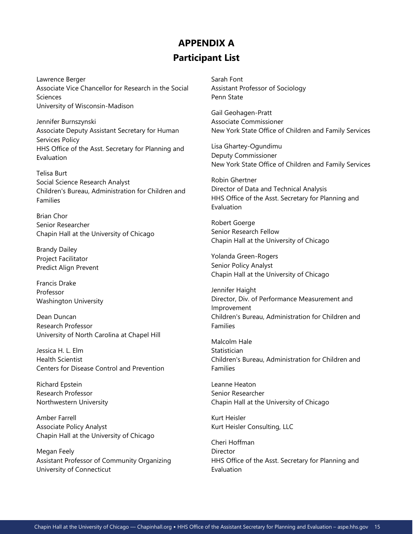### **APPENDIX A Participant List**

Lawrence Berger Associate Vice Chancellor for Research in the Social Sciences University of Wisconsin-Madison

Jennifer Burnszynski Associate Deputy Assistant Secretary for Human Services Policy HHS Office of the Asst. Secretary for Planning and Evaluation

Telisa Burt Social Science Research Analyst Children's Bureau, Administration for Children and Families

Brian Chor Senior Researcher Chapin Hall at the University of Chicago

Brandy Dailey Project Facilitator Predict Align Prevent

Francis Drake Professor Washington University

Dean Duncan Research Professor University of North Carolina at Chapel Hill

Jessica H. L. Elm Health Scientist Centers for Disease Control and Prevention

Richard Epstein Research Professor Northwestern University

Amber Farrell Associate Policy Analyst Chapin Hall at the University of Chicago

Megan Feely Assistant Professor of Community Organizing University of Connecticut

Sarah Font Assistant Professor of Sociology Penn State

Gail Geohagen-Pratt Associate Commissioner New York State Office of Children and Family Services

Lisa Ghartey-Ogundimu Deputy Commissioner New York State Office of Children and Family Services

Robin Ghertner Director of Data and Technical Analysis HHS Office of the Asst. Secretary for Planning and Evaluation

Robert Goerge Senior Research Fellow Chapin Hall at the University of Chicago

Yolanda Green-Rogers Senior Policy Analyst Chapin Hall at the University of Chicago

Jennifer Haight Director, Div. of Performance Measurement and Improvement Children's Bureau, Administration for Children and Families

Malcolm Hale **Statistician** Children's Bureau, Administration for Children and Families

Leanne Heaton Senior Researcher Chapin Hall at the University of Chicago

Kurt Heisler Kurt Heisler Consulting, LLC

Cheri Hoffman Director HHS Office of the Asst. Secretary for Planning and Evaluation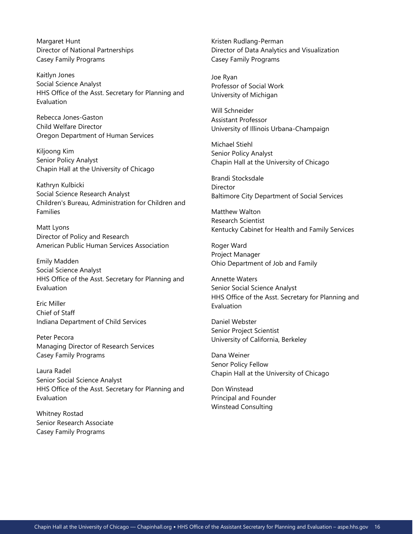Margaret Hunt Director of National Partnerships Casey Family Programs

Kaitlyn Jones Social Science Analyst HHS Office of the Asst. Secretary for Planning and Evaluation

Rebecca Jones-Gaston Child Welfare Director Oregon Department of Human Services

Kiljoong Kim Senior Policy Analyst Chapin Hall at the University of Chicago

Kathryn Kulbicki Social Science Research Analyst Children's Bureau, Administration for Children and Families

Matt Lyons Director of Policy and Research American Public Human Services Association

Emily Madden Social Science Analyst HHS Office of the Asst. Secretary for Planning and Evaluation

Eric Miller Chief of Staff Indiana Department of Child Services

Peter Pecora Managing Director of Research Services Casey Family Programs

Laura Radel Senior Social Science Analyst HHS Office of the Asst. Secretary for Planning and Evaluation

Whitney Rostad Senior Research Associate Casey Family Programs

Kristen Rudlang-Perman Director of Data Analytics and Visualization Casey Family Programs

Joe Ryan Professor of Social Work University of Michigan

Will Schneider Assistant Professor University of Illinois Urbana-Champaign

Michael Stiehl Senior Policy Analyst Chapin Hall at the University of Chicago

Brandi Stocksdale **Director** Baltimore City Department of Social Services

Matthew Walton Research Scientist Kentucky Cabinet for Health and Family Services

Roger Ward Project Manager Ohio Department of Job and Family

Annette Waters Senior Social Science Analyst HHS Office of the Asst. Secretary for Planning and Evaluation

Daniel Webster Senior Project Scientist University of California, Berkeley

Dana Weiner Senor Policy Fellow Chapin Hall at the University of Chicago

Don Winstead Principal and Founder Winstead Consulting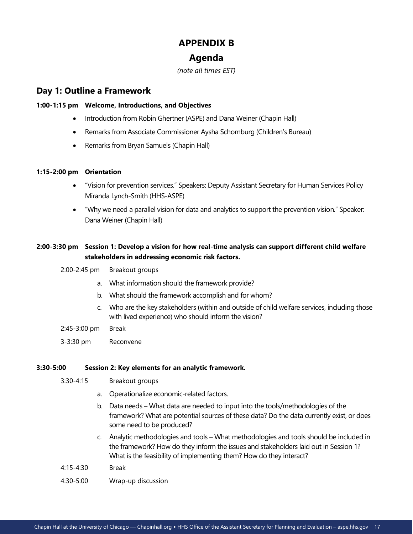# **APPENDIX B**

### **Agenda**

*(note all times EST)* 

### **Day 1: Outline a Framework**

### **1:00-1:15 pm Welcome, Introductions, and Objectives**

- Introduction from Robin Ghertner (ASPE) and Dana Weiner (Chapin Hall)
- Remarks from Associate Commissioner Aysha Schomburg (Children's Bureau)
- Remarks from Bryan Samuels (Chapin Hall)

### **1:15-2:00 pm Orientation**

- "Vision for prevention services." Speakers: Deputy Assistant Secretary for Human Services Policy Miranda Lynch-Smith (HHS-ASPE)
- "Why we need a parallel vision for data and analytics to support the prevention vision." Speaker: Dana Weiner (Chapin Hall)

### **2:00-3:30 pm Session 1: Develop a vision for how real-time analysis can support different child welfare stakeholders in addressing economic risk factors.**

- 2:00-2:45 pm Breakout groups
	- a. What information should the framework provide?
	- b. What should the framework accomplish and for whom?
	- c. Who are the key stakeholders (within and outside of child welfare services, including those with lived experience) who should inform the vision?
- 2:45-3:00 pm Break
- 3-3:30 pm Reconvene

### **3:30-5:00 Session 2: Key elements for an analytic framework.**

- 3:30-4:15 Breakout groups
	- a. Operationalize economic-related factors.
	- b. Data needs What data are needed to input into the tools/methodologies of the framework? What are potential sources of these data? Do the data currently exist, or does some need to be produced?
	- c. Analytic methodologies and tools What methodologies and tools should be included in the framework? How do they inform the issues and stakeholders laid out in Session 1? What is the feasibility of implementing them? How do they interact?
- 4:15-4:30 Break
- 4:30-5:00 Wrap-up discussion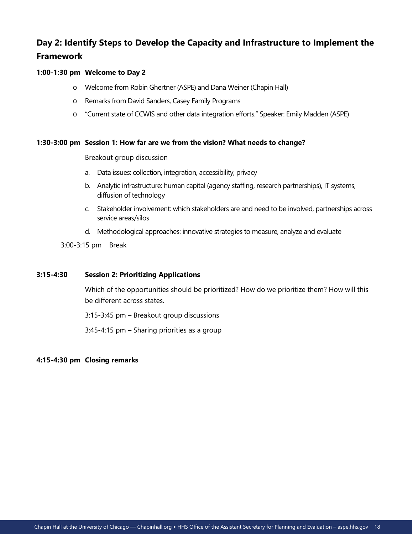### **Day 2: Identify Steps to Develop the Capacity and Infrastructure to Implement the Framework**

### **1:00-1:30 pm Welcome to Day 2**

- o Welcome from Robin Ghertner (ASPE) and Dana Weiner (Chapin Hall)
- o Remarks from David Sanders, Casey Family Programs
- o "Current state of CCWIS and other data integration efforts." Speaker: Emily Madden (ASPE)

#### **1:30-3:00 pm Session 1: How far are we from the vision? What needs to change?**

Breakout group discussion

- a. Data issues: collection, integration, accessibility, privacy
- b. Analytic infrastructure: human capital (agency staffing, research partnerships), IT systems, diffusion of technology
- c. Stakeholder involvement: which stakeholders are and need to be involved, partnerships across service areas/silos
- d. Methodological approaches: innovative strategies to measure, analyze and evaluate

3:00-3:15 pm Break

#### **3:15-4:30 Session 2: Prioritizing Applications**

Which of the opportunities should be prioritized? How do we prioritize them? How will this be different across states.

3:15-3:45 pm – Breakout group discussions

3:45-4:15 pm – Sharing priorities as a group

### **4:15-4:30 pm Closing remarks**